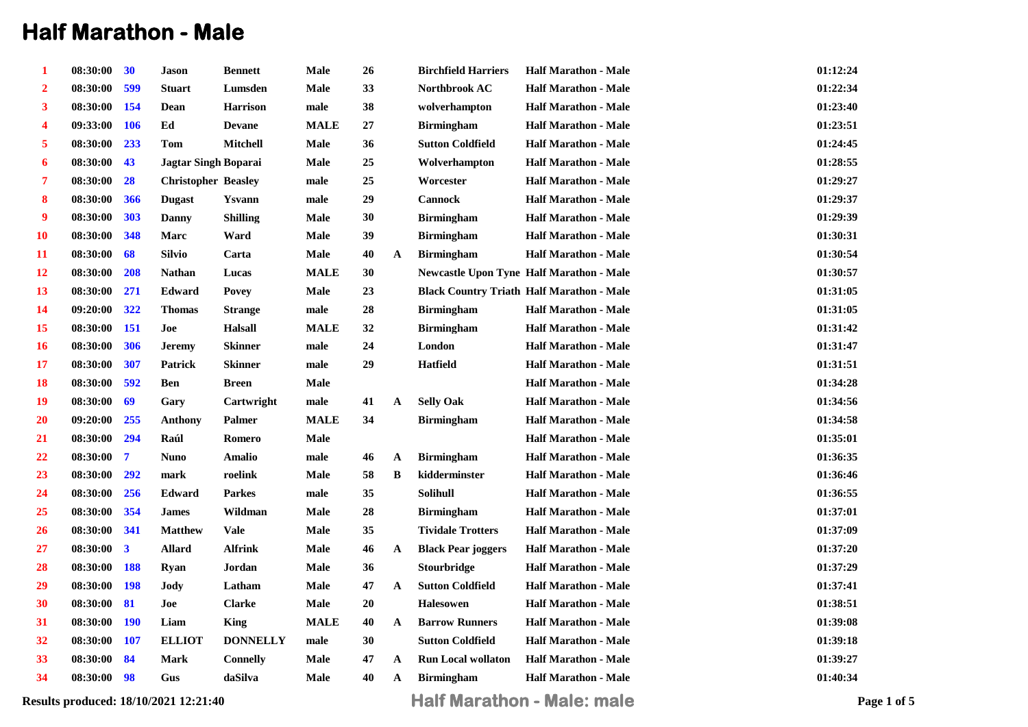## **Half Marathon - Male**

| 1  | 08:30:00     | 30             | <b>Jason</b>                | <b>Bennett</b>  | Male        | 26         |             | <b>Birchfield Harriers</b> | <b>Half Marathon - Male</b>                      | 01:12:24 |
|----|--------------|----------------|-----------------------------|-----------------|-------------|------------|-------------|----------------------------|--------------------------------------------------|----------|
| 2  | 08:30:00     | 599            | <b>Stuart</b>               | Lumsden         | Male        | 33         |             | Northbrook AC              | <b>Half Marathon - Male</b>                      | 01:22:34 |
| 3  | 08:30:00 154 |                | Dean                        | <b>Harrison</b> | male        | 38         |             | wolverhampton              | <b>Half Marathon - Male</b>                      | 01:23:40 |
| 4  | 09:33:00 106 |                | Ed                          | <b>Devane</b>   | <b>MALE</b> | $\bf 27$   |             | <b>Birmingham</b>          | <b>Half Marathon - Male</b>                      | 01:23:51 |
| 5  | 08:30:00     | 233            | Tom                         | <b>Mitchell</b> | <b>Male</b> | 36         |             | <b>Sutton Coldfield</b>    | <b>Half Marathon - Male</b>                      | 01:24:45 |
| 6  | 08:30:00     | 43             | <b>Jagtar Singh Boparai</b> |                 | Male        | 25         |             | Wolverhampton              | <b>Half Marathon - Male</b>                      | 01:28:55 |
| 7  | 08:30:00     | 28             | <b>Christopher Beasley</b>  |                 | male        | 25         |             | Worcester                  | <b>Half Marathon - Male</b>                      | 01:29:27 |
| 8  | 08:30:00     | 366            | <b>Dugast</b>               | Ysvann          | male        | 29         |             | <b>Cannock</b>             | <b>Half Marathon - Male</b>                      | 01:29:37 |
| 9  | 08:30:00     | 303            | Danny                       | <b>Shilling</b> | <b>Male</b> | 30         |             | <b>Birmingham</b>          | <b>Half Marathon - Male</b>                      | 01:29:39 |
| 10 | 08:30:00     | 348            | Marc                        | Ward            | Male        | 39         |             | <b>Birmingham</b>          | <b>Half Marathon - Male</b>                      | 01:30:31 |
| 11 | 08:30:00     | 68             | <b>Silvio</b>               | Carta           | <b>Male</b> | 40         | A           | <b>Birmingham</b>          | <b>Half Marathon - Male</b>                      | 01:30:54 |
| 12 | 08:30:00     | 208            | <b>Nathan</b>               | Lucas           | <b>MALE</b> | 30         |             |                            | <b>Newcastle Upon Tyne Half Marathon - Male</b>  | 01:30:57 |
| 13 | 08:30:00     | 271            | Edward                      | <b>Povey</b>    | Male        | 23         |             |                            | <b>Black Country Triath Half Marathon - Male</b> | 01:31:05 |
| 14 | 09:20:00     | 322            | <b>Thomas</b>               | <b>Strange</b>  | male        | ${\bf 28}$ |             | <b>Birmingham</b>          | <b>Half Marathon - Male</b>                      | 01:31:05 |
| 15 | 08:30:00 151 |                | Joe                         | <b>Halsall</b>  | <b>MALE</b> | 32         |             | <b>Birmingham</b>          | <b>Half Marathon - Male</b>                      | 01:31:42 |
| 16 | 08:30:00     | 306            | <b>Jeremy</b>               | Skinner         | male        | 24         |             | London                     | <b>Half Marathon - Male</b>                      | 01:31:47 |
| 17 | 08:30:00     | 307            | Patrick                     | Skinner         | male        | 29         |             | <b>Hatfield</b>            | <b>Half Marathon - Male</b>                      | 01:31:51 |
| 18 | 08:30:00     | 592            | Ben                         | Breen           | <b>Male</b> |            |             |                            | <b>Half Marathon - Male</b>                      | 01:34:28 |
| 19 | 08:30:00     | 69             | Gary                        | Cartwright      | male        | 41         | A           | <b>Selly Oak</b>           | <b>Half Marathon - Male</b>                      | 01:34:56 |
| 20 | 09:20:00 255 |                | <b>Anthony</b>              | Palmer          | <b>MALE</b> | 34         |             | <b>Birmingham</b>          | <b>Half Marathon - Male</b>                      | 01:34:58 |
| 21 | 08:30:00     | 294            | Raúl                        | Romero          | Male        |            |             |                            | <b>Half Marathon - Male</b>                      | 01:35:01 |
| 22 | 08:30:00     | $\overline{7}$ | <b>Nuno</b>                 | <b>Amalio</b>   | male        | 46         | $\mathbf A$ | <b>Birmingham</b>          | <b>Half Marathon - Male</b>                      | 01:36:35 |
| 23 | 08:30:00     | 292            | mark                        | roelink         | Male        | 58         | B           | kidderminster              | <b>Half Marathon - Male</b>                      | 01:36:46 |
| 24 | 08:30:00     | 256            | Edward                      | <b>Parkes</b>   | male        | 35         |             | Solihull                   | <b>Half Marathon - Male</b>                      | 01:36:55 |
| 25 | 08:30:00     | 354            | <b>James</b>                | Wildman         | <b>Male</b> | ${\bf 28}$ |             | <b>Birmingham</b>          | <b>Half Marathon - Male</b>                      | 01:37:01 |
| 26 | 08:30:00 341 |                | <b>Matthew</b>              | Vale            | Male        | 35         |             | <b>Tividale Trotters</b>   | <b>Half Marathon - Male</b>                      | 01:37:09 |
| 27 | 08:30:00     | $\mathbf{3}$   | <b>Allard</b>               | <b>Alfrink</b>  | Male        | 46         | A           | <b>Black Pear joggers</b>  | <b>Half Marathon - Male</b>                      | 01:37:20 |
| 28 | 08:30:00 188 |                | Ryan                        | Jordan          | Male        | 36         |             | Stourbridge                | <b>Half Marathon - Male</b>                      | 01:37:29 |
| 29 | 08:30:00 198 |                | <b>Jody</b>                 | Latham          | Male        | 47         | $\mathbf A$ | <b>Sutton Coldfield</b>    | <b>Half Marathon - Male</b>                      | 01:37:41 |
| 30 | 08:30:00     | 81             | Joe                         | <b>Clarke</b>   | Male        | 20         |             | <b>Halesowen</b>           | <b>Half Marathon - Male</b>                      | 01:38:51 |
| 31 | 08:30:00 190 |                | Liam                        | King            | <b>MALE</b> | 40         | A           | <b>Barrow Runners</b>      | <b>Half Marathon - Male</b>                      | 01:39:08 |
| 32 | 08:30:00 107 |                | <b>ELLIOT</b>               | <b>DONNELLY</b> | male        | 30         |             | <b>Sutton Coldfield</b>    | <b>Half Marathon - Male</b>                      | 01:39:18 |
| 33 | 08:30:00     | 84             | <b>Mark</b>                 | <b>Connelly</b> | Male        | 47         | A           | <b>Run Local wollaton</b>  | <b>Half Marathon - Male</b>                      | 01:39:27 |
| 34 | 08:30:00 98  |                | Gus                         | daSilva         | Male        | 40         | A           | <b>Birmingham</b>          | <b>Half Marathon - Male</b>                      | 01:40:34 |
|    |              |                |                             |                 |             |            |             |                            |                                                  |          |

**Results produced: 18/10/2021 12:21:40 Half Marathon - Male: male Page 1 of 5**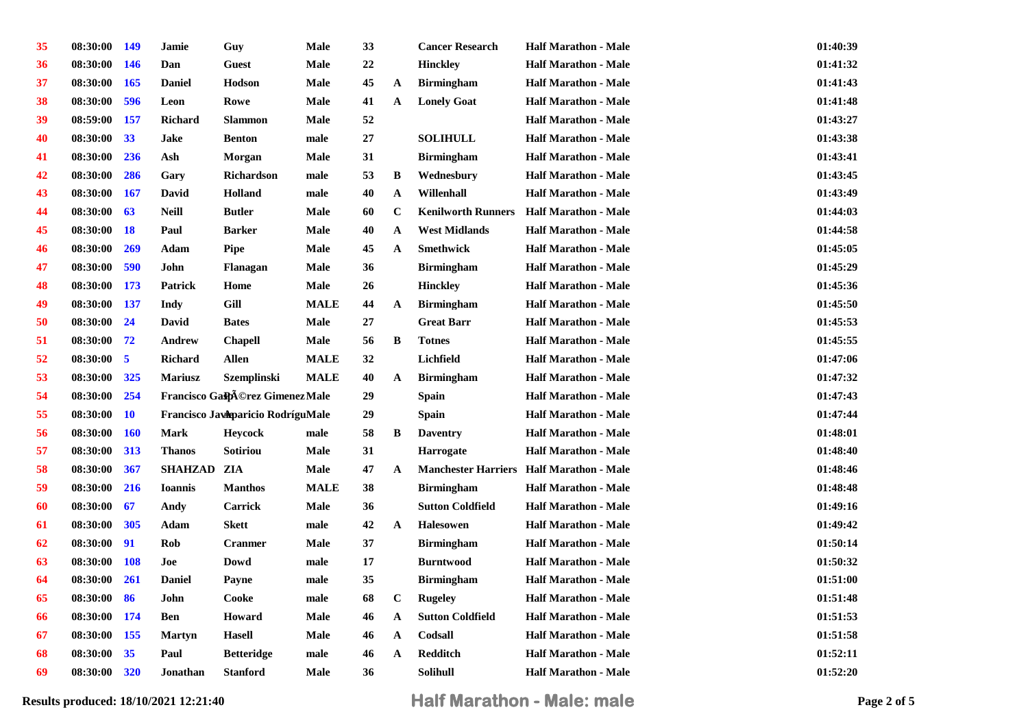| 35 | 08:30:00    | <b>149</b>              | Jamie           | Guy                               | Male        | 33       |              | <b>Cancer Research</b>    | <b>Half Marathon - Male</b>                     | 01:40:39 |
|----|-------------|-------------------------|-----------------|-----------------------------------|-------------|----------|--------------|---------------------------|-------------------------------------------------|----------|
| 36 | 08:30:00    | <b>146</b>              | Dan             | Guest                             | <b>Male</b> | $22\,$   |              | <b>Hinckley</b>           | <b>Half Marathon - Male</b>                     | 01:41:32 |
| 37 | 08:30:00    | 165                     | <b>Daniel</b>   | Hodson                            | <b>Male</b> | 45       | $\mathbf{A}$ | <b>Birmingham</b>         | <b>Half Marathon - Male</b>                     | 01:41:43 |
| 38 | 08:30:00    | 596                     | Leon            | Rowe                              | <b>Male</b> | 41       | $\mathbf A$  | <b>Lonely Goat</b>        | <b>Half Marathon - Male</b>                     | 01:41:48 |
| 39 | 08:59:00    | 157                     | <b>Richard</b>  | <b>Slammon</b>                    | <b>Male</b> | 52       |              |                           | <b>Half Marathon - Male</b>                     | 01:43:27 |
| 40 | 08:30:00    | 33                      | <b>Jake</b>     | <b>Benton</b>                     | male        | 27       |              | <b>SOLIHULL</b>           | <b>Half Marathon - Male</b>                     | 01:43:38 |
| 41 | 08:30:00    | 236                     | Ash             | Morgan                            | Male        | 31       |              | <b>Birmingham</b>         | <b>Half Marathon - Male</b>                     | 01:43:41 |
| 42 | 08:30:00    | 286                     | Gary            | <b>Richardson</b>                 | male        | 53       | $\bf{B}$     | Wednesbury                | <b>Half Marathon - Male</b>                     | 01:43:45 |
| 43 | 08:30:00    | <b>167</b>              | David           | Holland                           | male        | 40       | $\mathbf A$  | Willenhall                | <b>Half Marathon - Male</b>                     | 01:43:49 |
| 44 | 08:30:00    | 63                      | <b>Neill</b>    | <b>Butler</b>                     | <b>Male</b> | 60       | $\mathbf C$  | <b>Kenilworth Runners</b> | <b>Half Marathon - Male</b>                     | 01:44:03 |
| 45 | 08:30:00    | <b>18</b>               | Paul            | <b>Barker</b>                     | <b>Male</b> | 40       | $\mathbf{A}$ | <b>West Midlands</b>      | <b>Half Marathon - Male</b>                     | 01:44:58 |
| 46 | 08:30:00    | 269                     | Adam            | Pipe                              | <b>Male</b> | 45       | $\mathbf A$  | <b>Smethwick</b>          | <b>Half Marathon - Male</b>                     | 01:45:05 |
| 47 | 08:30:00    | 590                     | John            | Flanagan                          | Male        | 36       |              | <b>Birmingham</b>         | <b>Half Marathon - Male</b>                     | 01:45:29 |
| 48 | 08:30:00    | 173                     | Patrick         | Home                              | Male        | 26       |              | <b>Hinckley</b>           | <b>Half Marathon - Male</b>                     | 01:45:36 |
| 49 | 08:30:00    | <b>137</b>              | <b>Indy</b>     | Gill                              | <b>MALE</b> | 44       | $\mathbf{A}$ | <b>Birmingham</b>         | <b>Half Marathon - Male</b>                     | 01:45:50 |
| 50 | 08:30:00    | 24                      | David           | <b>Bates</b>                      | <b>Male</b> | $\bf 27$ |              | <b>Great Barr</b>         | <b>Half Marathon - Male</b>                     | 01:45:53 |
| 51 | 08:30:00 72 |                         | Andrew          | <b>Chapell</b>                    | <b>Male</b> | 56       | B            | <b>Totnes</b>             | <b>Half Marathon - Male</b>                     | 01:45:55 |
| 52 | 08:30:00    | $\overline{\mathbf{5}}$ | <b>Richard</b>  | <b>Allen</b>                      | <b>MALE</b> | 32       |              | Lichfield                 | <b>Half Marathon - Male</b>                     | 01:47:06 |
| 53 | 08:30:00    | 325                     | <b>Mariusz</b>  | <b>Szemplinski</b>                | <b>MALE</b> | 40       | ${\bf A}$    | <b>Birmingham</b>         | <b>Half Marathon - Male</b>                     | 01:47:32 |
| 54 | 08:30:00    | 254                     |                 | Francisco GaspA©rez GimenezMale   |             | 29       |              | <b>Spain</b>              | <b>Half Marathon - Male</b>                     | 01:47:43 |
| 55 | 08:30:00    | 10                      |                 | Francisco Javaparicio RodríguMale |             | 29       |              | <b>Spain</b>              | <b>Half Marathon - Male</b>                     | 01:47:44 |
| 56 | 08:30:00    | <b>160</b>              | <b>Mark</b>     | <b>Heycock</b>                    | male        | 58       | B            | <b>Daventry</b>           | <b>Half Marathon - Male</b>                     | 01:48:01 |
| 57 | 08:30:00    | 313                     | <b>Thanos</b>   | Sotiriou                          | <b>Male</b> | 31       |              | <b>Harrogate</b>          | <b>Half Marathon - Male</b>                     | 01:48:40 |
| 58 | 08:30:00    | 367                     | SHAHZAD ZIA     |                                   | <b>Male</b> | 47       | $\mathbf{A}$ |                           | <b>Manchester Harriers Half Marathon - Male</b> | 01:48:46 |
| 59 | 08:30:00    | 216                     | <b>Ioannis</b>  | <b>Manthos</b>                    | <b>MALE</b> | 38       |              | <b>Birmingham</b>         | <b>Half Marathon - Male</b>                     | 01:48:48 |
| 60 | 08:30:00    | 67                      | Andy            | Carrick                           | <b>Male</b> | 36       |              | <b>Sutton Coldfield</b>   | <b>Half Marathon - Male</b>                     | 01:49:16 |
| 61 | 08:30:00    | 305                     | Adam            | <b>Skett</b>                      | male        | 42       | $\mathbf{A}$ | <b>Halesowen</b>          | <b>Half Marathon - Male</b>                     | 01:49:42 |
| 62 | 08:30:00    | 91                      | Rob             | <b>Cranmer</b>                    | <b>Male</b> | 37       |              | <b>Birmingham</b>         | <b>Half Marathon - Male</b>                     | 01:50:14 |
| 63 | 08:30:00    | <b>108</b>              | Joe             | Dowd                              | male        | 17       |              | <b>Burntwood</b>          | <b>Half Marathon - Male</b>                     | 01:50:32 |
| 64 | 08:30:00    | 261                     | <b>Daniel</b>   | <b>Payne</b>                      | male        | 35       |              | <b>Birmingham</b>         | <b>Half Marathon - Male</b>                     | 01:51:00 |
| 65 | 08:30:00    | 86                      | John            | Cooke                             | male        | 68       | $\bf C$      | <b>Rugeley</b>            | <b>Half Marathon - Male</b>                     | 01:51:48 |
| 66 | 08:30:00    | 174                     | <b>Ben</b>      | Howard                            | <b>Male</b> | 46       | $\mathbf{A}$ | <b>Sutton Coldfield</b>   | <b>Half Marathon - Male</b>                     | 01:51:53 |
| 67 | 08:30:00    | <b>155</b>              | <b>Martyn</b>   | <b>Hasell</b>                     | Male        | 46       | $\mathbf{A}$ | Codsall                   | <b>Half Marathon - Male</b>                     | 01:51:58 |
| 68 | 08:30:00    | 35                      | Paul            | <b>Betteridge</b>                 | male        | 46       | $\mathbf A$  | Redditch                  | <b>Half Marathon - Male</b>                     | 01:52:11 |
| 69 | 08:30:00    | 320                     | <b>Jonathan</b> | <b>Stanford</b>                   | <b>Male</b> | 36       |              | <b>Solihull</b>           | <b>Half Marathon - Male</b>                     | 01:52:20 |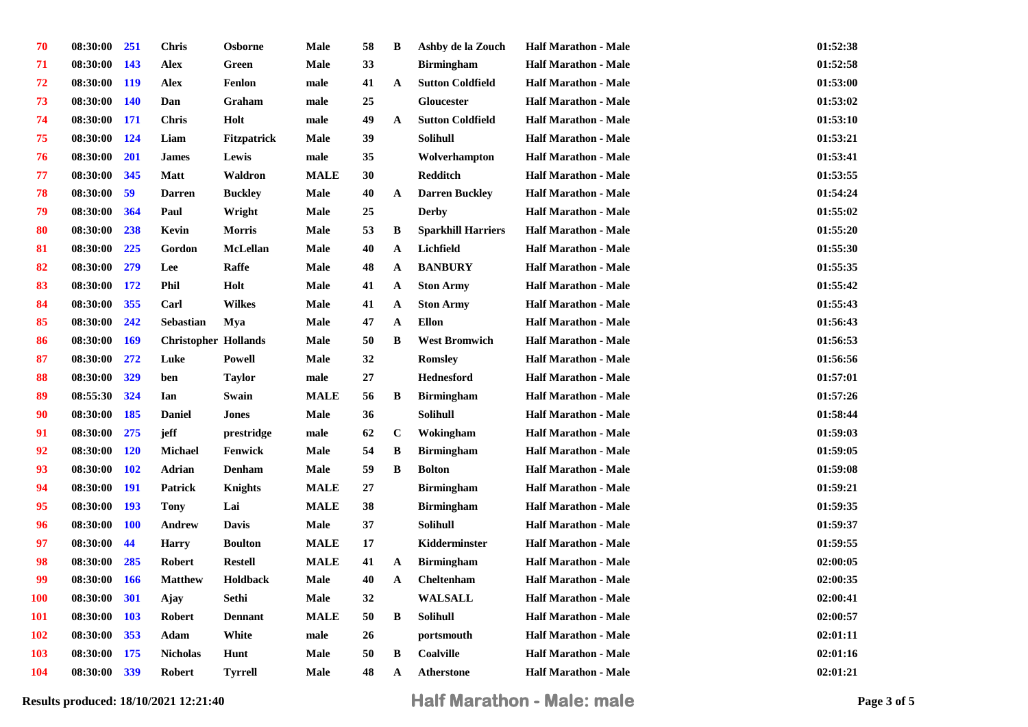| 70  | 08:30:00 | <b>251</b> | <b>Chris</b>                | <b>Osborne</b>     | Male        | 58 | B            | Ashby de la Zouch         | <b>Half Marathon - Male</b> | 01:52:38 |
|-----|----------|------------|-----------------------------|--------------------|-------------|----|--------------|---------------------------|-----------------------------|----------|
| 71  | 08:30:00 | <b>143</b> | <b>Alex</b>                 | Green              | <b>Male</b> | 33 |              | <b>Birmingham</b>         | <b>Half Marathon - Male</b> | 01:52:58 |
| 72  | 08:30:00 | <b>119</b> | <b>Alex</b>                 | Fenlon             | male        | 41 | $\mathbf A$  | <b>Sutton Coldfield</b>   | <b>Half Marathon - Male</b> | 01:53:00 |
| 73  | 08:30:00 | <b>140</b> | Dan                         | Graham             | male        | 25 |              | <b>Gloucester</b>         | <b>Half Marathon - Male</b> | 01:53:02 |
| 74  | 08:30:00 | <b>171</b> | <b>Chris</b>                | Holt               | male        | 49 | $\mathbf A$  | <b>Sutton Coldfield</b>   | <b>Half Marathon - Male</b> | 01:53:10 |
| 75  | 08:30:00 | 124        | Liam                        | <b>Fitzpatrick</b> | <b>Male</b> | 39 |              | <b>Solihull</b>           | <b>Half Marathon - Male</b> | 01:53:21 |
| 76  | 08:30:00 | <b>201</b> | <b>James</b>                | Lewis              | male        | 35 |              | Wolverhampton             | <b>Half Marathon - Male</b> | 01:53:41 |
| 77  | 08:30:00 | 345        | Matt                        | Waldron            | <b>MALE</b> | 30 |              | <b>Redditch</b>           | <b>Half Marathon - Male</b> | 01:53:55 |
| 78  | 08:30:00 | 59         | <b>Darren</b>               | <b>Buckley</b>     | Male        | 40 | $\mathbf{A}$ | <b>Darren Buckley</b>     | <b>Half Marathon - Male</b> | 01:54:24 |
| 79  | 08:30:00 | 364        | Paul                        | Wright             | Male        | 25 |              | <b>Derby</b>              | <b>Half Marathon - Male</b> | 01:55:02 |
| 80  | 08:30:00 | 238        | Kevin                       | <b>Morris</b>      | Male        | 53 | B            | <b>Sparkhill Harriers</b> | <b>Half Marathon - Male</b> | 01:55:20 |
| 81  | 08:30:00 | 225        | Gordon                      | <b>McLellan</b>    | <b>Male</b> | 40 | $\mathbf A$  | Lichfield                 | <b>Half Marathon - Male</b> | 01:55:30 |
| 82  | 08:30:00 | 279        | Lee                         | <b>Raffe</b>       | <b>Male</b> | 48 | $\mathbf{A}$ | <b>BANBURY</b>            | <b>Half Marathon - Male</b> | 01:55:35 |
| 83  | 08:30:00 | <b>172</b> | Phil                        | Holt               | Male        | 41 | $\mathbf{A}$ | <b>Ston Army</b>          | <b>Half Marathon - Male</b> | 01:55:42 |
| 84  | 08:30:00 | 355        | Carl                        | <b>Wilkes</b>      | <b>Male</b> | 41 | $\mathbf{A}$ | <b>Ston Army</b>          | <b>Half Marathon - Male</b> | 01:55:43 |
| 85  | 08:30:00 | 242        | Sebastian                   | Mya                | <b>Male</b> | 47 | $\mathbf A$  | <b>Ellon</b>              | <b>Half Marathon - Male</b> | 01:56:43 |
| 86  | 08:30:00 | <b>169</b> | <b>Christopher Hollands</b> |                    | Male        | 50 | B            | <b>West Bromwich</b>      | <b>Half Marathon - Male</b> | 01:56:53 |
| 87  | 08:30:00 | 272        | Luke                        | <b>Powell</b>      | <b>Male</b> | 32 |              | <b>Romsley</b>            | <b>Half Marathon - Male</b> | 01:56:56 |
| 88  | 08:30:00 | 329        | ben                         | <b>Taylor</b>      | male        | 27 |              | <b>Hednesford</b>         | <b>Half Marathon - Male</b> | 01:57:01 |
| 89  | 08:55:30 | 324        | Ian                         | Swain              | <b>MALE</b> | 56 | B            | <b>Birmingham</b>         | <b>Half Marathon - Male</b> | 01:57:26 |
| 90  | 08:30:00 | 185        | <b>Daniel</b>               | Jones              | Male        | 36 |              | <b>Solihull</b>           | <b>Half Marathon - Male</b> | 01:58:44 |
| 91  | 08:30:00 | 275        | jeff                        | prestridge         | male        | 62 | $\mathbf C$  | Wokingham                 | <b>Half Marathon - Male</b> | 01:59:03 |
| 92  | 08:30:00 | <b>120</b> | <b>Michael</b>              | Fenwick            | Male        | 54 | B            | <b>Birmingham</b>         | <b>Half Marathon - Male</b> | 01:59:05 |
| 93  | 08:30:00 | <b>102</b> | Adrian                      | <b>Denham</b>      | Male        | 59 | $\, {\bf B}$ | <b>Bolton</b>             | <b>Half Marathon - Male</b> | 01:59:08 |
| 94  | 08:30:00 | <b>191</b> | <b>Patrick</b>              | Knights            | <b>MALE</b> | 27 |              | <b>Birmingham</b>         | <b>Half Marathon - Male</b> | 01:59:21 |
| 95  | 08:30:00 | <b>193</b> | <b>Tony</b>                 | Lai                | <b>MALE</b> | 38 |              | <b>Birmingham</b>         | <b>Half Marathon - Male</b> | 01:59:35 |
| 96  | 08:30:00 | <b>100</b> | Andrew                      | <b>Davis</b>       | Male        | 37 |              | <b>Solihull</b>           | <b>Half Marathon - Male</b> | 01:59:37 |
| 97  | 08:30:00 | 44         | <b>Harry</b>                | <b>Boulton</b>     | <b>MALE</b> | 17 |              | Kidderminster             | <b>Half Marathon - Male</b> | 01:59:55 |
| 98  | 08:30:00 | 285        | <b>Robert</b>               | <b>Restell</b>     | <b>MALE</b> | 41 | $\mathbf{A}$ | <b>Birmingham</b>         | <b>Half Marathon - Male</b> | 02:00:05 |
| 99  | 08:30:00 | <b>166</b> | <b>Matthew</b>              | <b>Holdback</b>    | Male        | 40 | $\mathbf A$  | <b>Cheltenham</b>         | <b>Half Marathon - Male</b> | 02:00:35 |
| 100 | 08:30:00 | 301        | Ajay                        | Sethi              | <b>Male</b> | 32 |              | <b>WALSALL</b>            | <b>Half Marathon - Male</b> | 02:00:41 |
| 101 | 08:30:00 | <b>103</b> | <b>Robert</b>               | <b>Dennant</b>     | <b>MALE</b> | 50 | $\, {\bf B}$ | Solihull                  | <b>Half Marathon - Male</b> | 02:00:57 |
| 102 | 08:30:00 | 353        | Adam                        | White              | male        | 26 |              | portsmouth                | <b>Half Marathon - Male</b> | 02:01:11 |
| 103 | 08:30:00 | 175        | <b>Nicholas</b>             | Hunt               | Male        | 50 | B            | <b>Coalville</b>          | <b>Half Marathon - Male</b> | 02:01:16 |
| 104 | 08:30:00 | 339        | <b>Robert</b>               | <b>Tyrrell</b>     | Male        | 48 | A            | <b>Atherstone</b>         | <b>Half Marathon - Male</b> | 02:01:21 |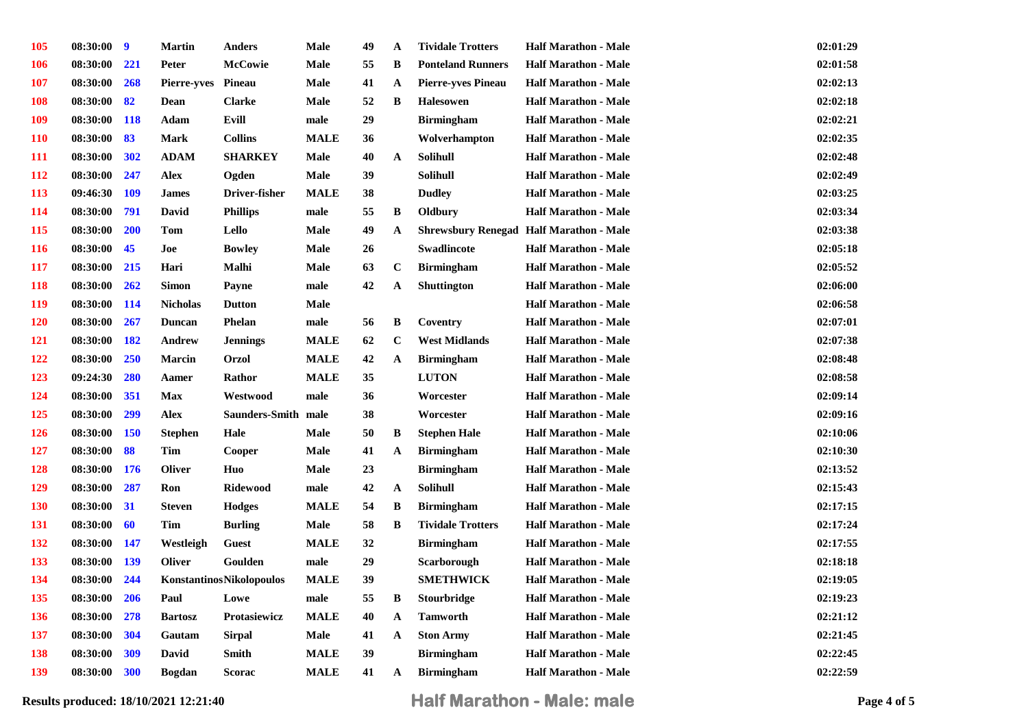| <b>105</b> | 08:30:00 | 9          | <b>Martin</b>   | <b>Anders</b>                   | <b>Male</b> | 49 | A            | <b>Tividale Trotters</b>  | <b>Half Marathon - Male</b>                    | 02:01:29 |
|------------|----------|------------|-----------------|---------------------------------|-------------|----|--------------|---------------------------|------------------------------------------------|----------|
| <b>106</b> | 08:30:00 | 221        | Peter           | <b>McCowie</b>                  | Male        | 55 | B            | <b>Ponteland Runners</b>  | <b>Half Marathon - Male</b>                    | 02:01:58 |
| <b>107</b> | 08:30:00 | 268        | Pierre-yves     | Pineau                          | Male        | 41 | $\mathbf A$  | <b>Pierre-yves Pineau</b> | <b>Half Marathon - Male</b>                    | 02:02:13 |
| <b>108</b> | 08:30:00 | 82         | Dean            | <b>Clarke</b>                   | Male        | 52 | $\, {\bf B}$ | <b>Halesowen</b>          | <b>Half Marathon - Male</b>                    | 02:02:18 |
| <b>109</b> | 08:30:00 | <b>118</b> | Adam            | Evill                           | male        | 29 |              | <b>Birmingham</b>         | <b>Half Marathon - Male</b>                    | 02:02:21 |
| <b>110</b> | 08:30:00 | 83         | Mark            | <b>Collins</b>                  | <b>MALE</b> | 36 |              | Wolverhampton             | <b>Half Marathon - Male</b>                    | 02:02:35 |
| <b>111</b> | 08:30:00 | 302        | <b>ADAM</b>     | <b>SHARKEY</b>                  | Male        | 40 | $\mathbf A$  | <b>Solihull</b>           | <b>Half Marathon - Male</b>                    | 02:02:48 |
| 112        | 08:30:00 | 247        | <b>Alex</b>     | Ogden                           | Male        | 39 |              | Solihull                  | <b>Half Marathon - Male</b>                    | 02:02:49 |
| 113        | 09:46:30 | <b>109</b> | <b>James</b>    | Driver-fisher                   | <b>MALE</b> | 38 |              | <b>Dudley</b>             | <b>Half Marathon - Male</b>                    | 02:03:25 |
| 114        | 08:30:00 | 791        | David           | <b>Phillips</b>                 | male        | 55 | B            | Oldbury                   | <b>Half Marathon - Male</b>                    | 02:03:34 |
| <b>115</b> | 08:30:00 | <b>200</b> | Tom             | Lello                           | Male        | 49 | $\mathbf A$  |                           | <b>Shrewsbury Renegad Half Marathon - Male</b> | 02:03:38 |
| <b>116</b> | 08:30:00 | 45         | Joe             | <b>Bowley</b>                   | Male        | 26 |              | Swadlincote               | <b>Half Marathon - Male</b>                    | 02:05:18 |
| <b>117</b> | 08:30:00 | 215        | Hari            | Malhi                           | Male        | 63 | $\mathbf{C}$ | <b>Birmingham</b>         | <b>Half Marathon - Male</b>                    | 02:05:52 |
| <b>118</b> | 08:30:00 | 262        | <b>Simon</b>    | Payne                           | male        | 42 | $\mathbf A$  | <b>Shuttington</b>        | <b>Half Marathon - Male</b>                    | 02:06:00 |
| <b>119</b> | 08:30:00 | <b>114</b> | <b>Nicholas</b> | <b>Dutton</b>                   | Male        |    |              |                           | <b>Half Marathon - Male</b>                    | 02:06:58 |
| <b>120</b> | 08:30:00 | 267        | Duncan          | Phelan                          | male        | 56 | B            | Coventry                  | <b>Half Marathon - Male</b>                    | 02:07:01 |
| 121        | 08:30:00 | 182        | <b>Andrew</b>   | <b>Jennings</b>                 | <b>MALE</b> | 62 | $\bf C$      | <b>West Midlands</b>      | <b>Half Marathon - Male</b>                    | 02:07:38 |
| 122        | 08:30:00 | 250        | <b>Marcin</b>   | <b>Orzol</b>                    | <b>MALE</b> | 42 | $\mathbf A$  | <b>Birmingham</b>         | <b>Half Marathon - Male</b>                    | 02:08:48 |
| <b>123</b> | 09:24:30 | 280        | Aamer           | Rathor                          | <b>MALE</b> | 35 |              | <b>LUTON</b>              | <b>Half Marathon - Male</b>                    | 02:08:58 |
| 124        | 08:30:00 | 351        | Max             | Westwood                        | male        | 36 |              | Worcester                 | <b>Half Marathon - Male</b>                    | 02:09:14 |
| 125        | 08:30:00 | 299        | <b>Alex</b>     | Saunders-Smith male             |             | 38 |              | Worcester                 | <b>Half Marathon - Male</b>                    | 02:09:16 |
| <b>126</b> | 08:30:00 | <b>150</b> | <b>Stephen</b>  | Hale                            | Male        | 50 | B            | <b>Stephen Hale</b>       | <b>Half Marathon - Male</b>                    | 02:10:06 |
| 127        | 08:30:00 | 88         | <b>Tim</b>      | Cooper                          | Male        | 41 | $\mathbf A$  | <b>Birmingham</b>         | <b>Half Marathon - Male</b>                    | 02:10:30 |
| 128        | 08:30:00 | <b>176</b> | <b>Oliver</b>   | Huo                             | Male        | 23 |              | <b>Birmingham</b>         | <b>Half Marathon - Male</b>                    | 02:13:52 |
| <b>129</b> | 08:30:00 | 287        | Ron             | <b>Ridewood</b>                 | male        | 42 | $\mathbf{A}$ | Solihull                  | <b>Half Marathon - Male</b>                    | 02:15:43 |
| 130        | 08:30:00 | 31         | <b>Steven</b>   | <b>Hodges</b>                   | <b>MALE</b> | 54 | B            | <b>Birmingham</b>         | <b>Half Marathon - Male</b>                    | 02:17:15 |
| 131        | 08:30:00 | 60         | <b>Tim</b>      | <b>Burling</b>                  | Male        | 58 | $\, {\bf B}$ | <b>Tividale Trotters</b>  | <b>Half Marathon - Male</b>                    | 02:17:24 |
| <b>132</b> | 08:30:00 | 147        | Westleigh       | <b>Guest</b>                    | <b>MALE</b> | 32 |              | <b>Birmingham</b>         | <b>Half Marathon - Male</b>                    | 02:17:55 |
| 133        | 08:30:00 | <b>139</b> | <b>Oliver</b>   | Goulden                         | male        | 29 |              | Scarborough               | <b>Half Marathon - Male</b>                    | 02:18:18 |
| 134        | 08:30:00 | 244        |                 | <b>KonstantinosNikolopoulos</b> | <b>MALE</b> | 39 |              | <b>SMETHWICK</b>          | <b>Half Marathon - Male</b>                    | 02:19:05 |
| 135        | 08:30:00 | 206        | Paul            | Lowe                            | male        | 55 | B            | Stourbridge               | <b>Half Marathon - Male</b>                    | 02:19:23 |
| 136        | 08:30:00 | 278        | <b>Bartosz</b>  | Protasiewicz                    | <b>MALE</b> | 40 | $\mathbf{A}$ | <b>Tamworth</b>           | <b>Half Marathon - Male</b>                    | 02:21:12 |
| 137        | 08:30:00 | 304        | Gautam          | Sirpal                          | Male        | 41 | $\mathbf{A}$ | <b>Ston Army</b>          | <b>Half Marathon - Male</b>                    | 02:21:45 |
| 138        | 08:30:00 | 309        | David           | Smith                           | <b>MALE</b> | 39 |              | <b>Birmingham</b>         | <b>Half Marathon - Male</b>                    | 02:22:45 |
| 139        | 08:30:00 | 300        | <b>Bogdan</b>   | Scorac                          | <b>MALE</b> | 41 | A            | <b>Birmingham</b>         | <b>Half Marathon - Male</b>                    | 02:22:59 |